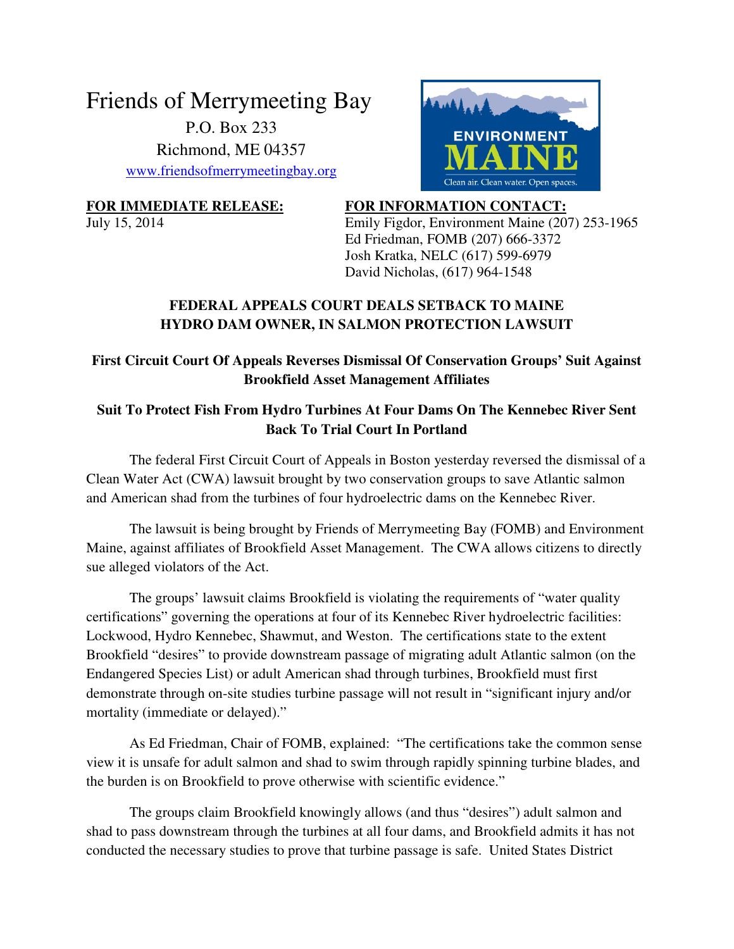# Friends of Merrymeeting Bay P.O. Box 233 Richmond, ME 04357 www.friendsofmerrymeetingbay.org



**FOR IMMEDIATE RELEASE: FOR INFORMATION CONTACT:**  July 15, 2014 Emily Figdor, Environment Maine (207) 253-1965 Ed Friedman, FOMB (207) 666-3372 Josh Kratka, NELC (617) 599-6979

#### David Nicholas, (617) 964-1548

## **FEDERAL APPEALS COURT DEALS SETBACK TO MAINE HYDRO DAM OWNER, IN SALMON PROTECTION LAWSUIT**

### **First Circuit Court Of Appeals Reverses Dismissal Of Conservation Groups' Suit Against Brookfield Asset Management Affiliates**

#### **Suit To Protect Fish From Hydro Turbines At Four Dams On The Kennebec River Sent Back To Trial Court In Portland**

The federal First Circuit Court of Appeals in Boston yesterday reversed the dismissal of a Clean Water Act (CWA) lawsuit brought by two conservation groups to save Atlantic salmon and American shad from the turbines of four hydroelectric dams on the Kennebec River.

The lawsuit is being brought by Friends of Merrymeeting Bay (FOMB) and Environment Maine, against affiliates of Brookfield Asset Management. The CWA allows citizens to directly sue alleged violators of the Act.

The groups' lawsuit claims Brookfield is violating the requirements of "water quality certifications" governing the operations at four of its Kennebec River hydroelectric facilities: Lockwood, Hydro Kennebec, Shawmut, and Weston. The certifications state to the extent Brookfield "desires" to provide downstream passage of migrating adult Atlantic salmon (on the Endangered Species List) or adult American shad through turbines, Brookfield must first demonstrate through on-site studies turbine passage will not result in "significant injury and/or mortality (immediate or delayed)."

As Ed Friedman, Chair of FOMB, explained: "The certifications take the common sense view it is unsafe for adult salmon and shad to swim through rapidly spinning turbine blades, and the burden is on Brookfield to prove otherwise with scientific evidence."

The groups claim Brookfield knowingly allows (and thus "desires") adult salmon and shad to pass downstream through the turbines at all four dams, and Brookfield admits it has not conducted the necessary studies to prove that turbine passage is safe. United States District